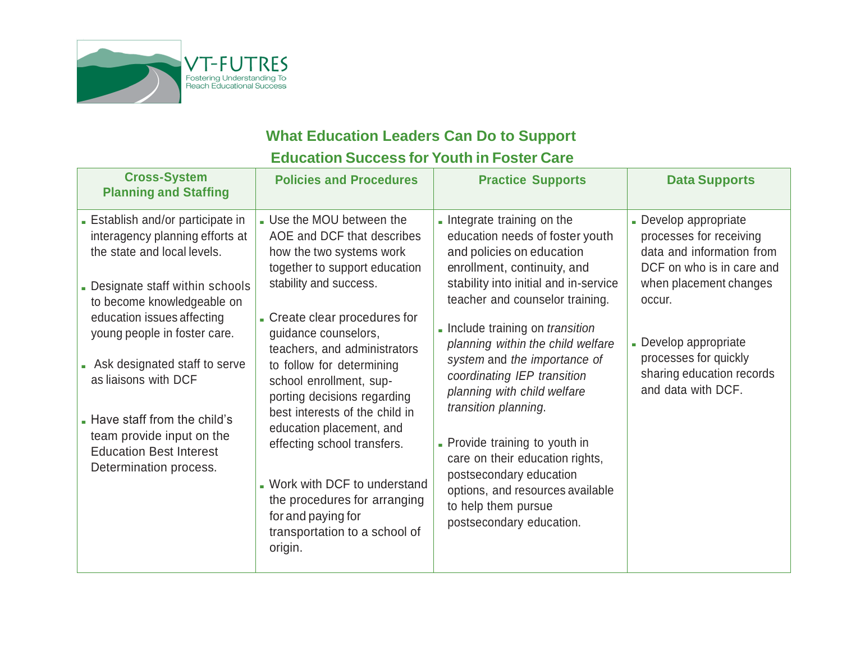

## **What Education Leaders Can Do to Support Education Success for Youth in Foster Care**

| <b>Cross-System</b><br><b>Planning and Staffing</b>                                                                                                                                                                                                                                                                                                                                                                    | <b>Policies and Procedures</b>                                                                                                                                                                                                                                                                                                                                                                                                                                                                                                                                 | <b>Practice Supports</b>                                                                                                                                                                                                                                                                                                                                                                                                                                                                                                                                                                            | <b>Data Supports</b>                                                                                                                                                                                                                              |
|------------------------------------------------------------------------------------------------------------------------------------------------------------------------------------------------------------------------------------------------------------------------------------------------------------------------------------------------------------------------------------------------------------------------|----------------------------------------------------------------------------------------------------------------------------------------------------------------------------------------------------------------------------------------------------------------------------------------------------------------------------------------------------------------------------------------------------------------------------------------------------------------------------------------------------------------------------------------------------------------|-----------------------------------------------------------------------------------------------------------------------------------------------------------------------------------------------------------------------------------------------------------------------------------------------------------------------------------------------------------------------------------------------------------------------------------------------------------------------------------------------------------------------------------------------------------------------------------------------------|---------------------------------------------------------------------------------------------------------------------------------------------------------------------------------------------------------------------------------------------------|
| - Establish and/or participate in<br>interagency planning efforts at<br>the state and local levels.<br>- Designate staff within schools<br>to become knowledgeable on<br>education issues affecting<br>young people in foster care.<br>Ask designated staff to serve<br>as liaisons with DCF<br>. Have staff from the child's<br>team provide input on the<br><b>Education Best Interest</b><br>Determination process. | . Use the MOU between the<br>AOE and DCF that describes<br>how the two systems work<br>together to support education<br>stability and success.<br>- Create clear procedures for<br>guidance counselors,<br>teachers, and administrators<br>to follow for determining<br>school enrollment, sup-<br>porting decisions regarding<br>best interests of the child in<br>education placement, and<br>effecting school transfers.<br>. Work with DCF to understand<br>the procedures for arranging<br>for and paying for<br>transportation to a school of<br>origin. | - Integrate training on the<br>education needs of foster youth<br>and policies on education<br>enrollment, continuity, and<br>stability into initial and in-service<br>teacher and counselor training.<br>- Include training on <i>transition</i><br>planning within the child welfare<br>system and the importance of<br>coordinating IEP transition<br>planning with child welfare<br>transition planning.<br>- Provide training to youth in<br>care on their education rights,<br>postsecondary education<br>options, and resources available<br>to help them pursue<br>postsecondary education. | - Develop appropriate<br>processes for receiving<br>data and information from<br>DCF on who is in care and<br>when placement changes<br>occur.<br>Develop appropriate<br>processes for quickly<br>sharing education records<br>and data with DCF. |